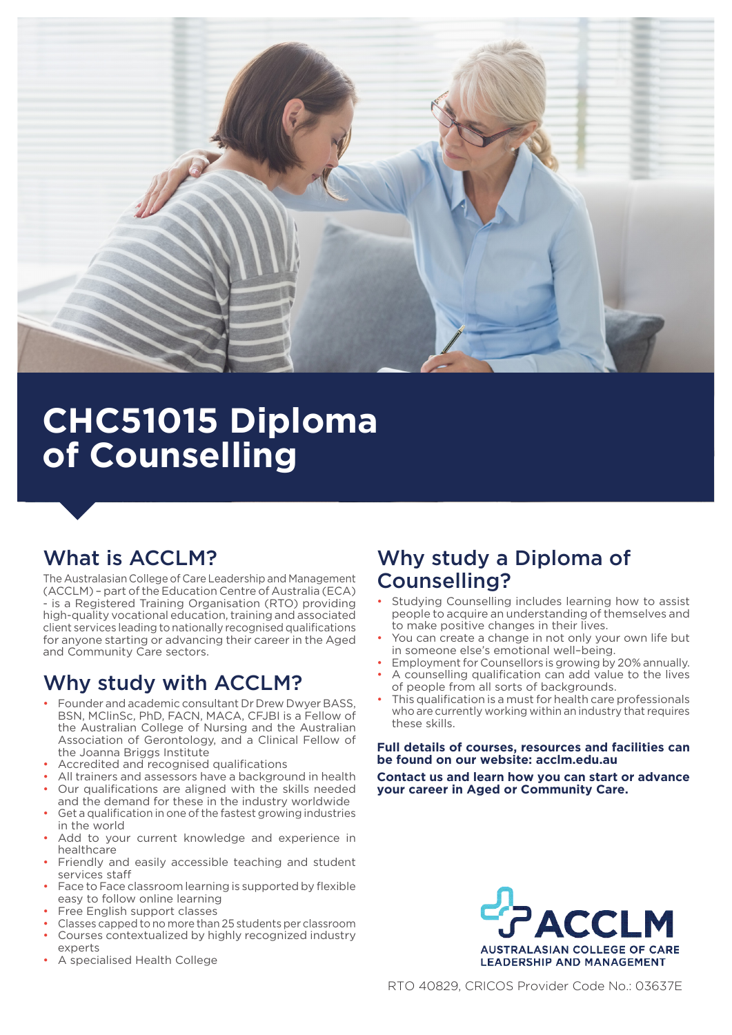

# **CHC51015 Diploma of Counselling**

# What is ACCLM?

The Australasian College of Care Leadership and Management (ACCLM) – part of the Education Centre of Australia (ECA) - is a Registered Training Organisation (RTO) providing high-quality vocational education, training and associated client services leading to nationally recognised qualifications for anyone starting or advancing their career in the Aged and Community Care sectors.

# Why study with ACCLM?

- Founder and academic consultant Dr Drew Dwyer BASS, BSN, MClinSc, PhD, FACN, MACA, CFJBI is a Fellow of the Australian College of Nursing and the Australian Association of Gerontology, and a Clinical Fellow of the Joanna Briggs Institute
- Accredited and recognised qualifications
- All trainers and assessors have a background in health
- Our qualifications are aligned with the skills needed and the demand for these in the industry worldwide
- Get a qualification in one of the fastest growing industries in the world
- Add to your current knowledge and experience in healthcare
- Friendly and easily accessible teaching and student services staff
- Face to Face classroom learning is supported by flexible easy to follow online learning
- Free English support classes
- Classes capped to no more than 25 students per classroom • Courses contextualized by highly recognized industry experts
- A specialised Health College

# Why study a Diploma of Counselling?

- Studying Counselling includes learning how to assist people to acquire an understanding of themselves and to make positive changes in their lives.
- You can create a change in not only your own life but in someone else's emotional well–being.
- Employment for Counsellors is growing by 20% annually.
- A counselling qualification can add value to the lives of people from all sorts of backgrounds.
- This qualification is a must for health care professionals who are currently working within an industry that requires these skills.

#### **Full details of courses, resources and facilities can be found on our website: acclm.edu.au**

**Contact us and learn how you can start or advance your career in Aged or Community Care.**